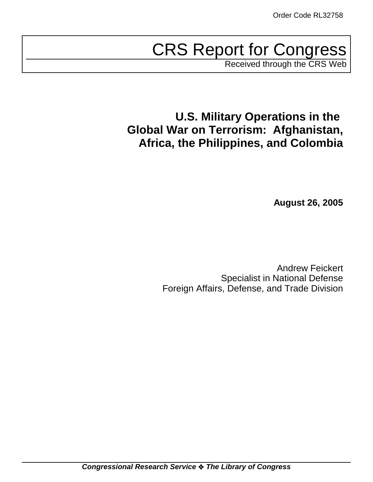# CRS Report for Congress

Received through the CRS Web

# **U.S. Military Operations in the Global War on Terrorism: Afghanistan, Africa, the Philippines, and Colombia**

**August 26, 2005**

Andrew Feickert Specialist in National Defense Foreign Affairs, Defense, and Trade Division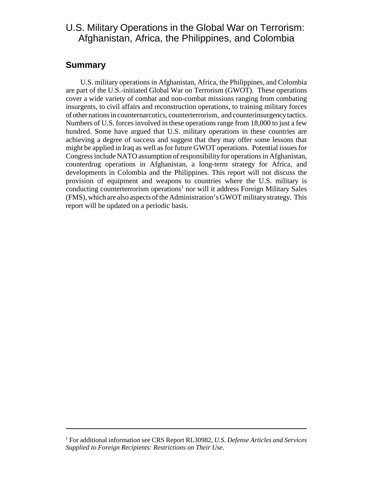### U.S. Military Operations in the Global War on Terrorism: Afghanistan, Africa, the Philippines, and Colombia

#### **Summary**

U.S. military operations in Afghanistan, Africa, the Philippines, and Colombia are part of the U.S.-initiated Global War on Terrorism (GWOT). These operations cover a wide variety of combat and non-combat missions ranging from combating insurgents, to civil affairs and reconstruction operations, to training military forces of other nations in counternarcotics, counterterrorism, and counterinsurgency tactics. Numbers of U.S. forces involved in these operations range from 18,000 to just a few hundred. Some have argued that U.S. military operations in these countries are achieving a degree of success and suggest that they may offer some lessons that might be applied in Iraq as well as for future GWOT operations. Potential issues for Congress include NATO assumption of responsibility for operations in Afghanistan, counterdrug operations in Afghanistan, a long-term strategy for Africa, and developments in Colombia and the Philippines. This report will not discuss the provision of equipment and weapons to countries where the U.S. military is conducting counterterrorism operations<sup>1</sup> nor will it address Foreign Military Sales (FMS), which are also aspects of the Administration's GWOT military strategy. This report will be updated on a periodic basis.

<sup>1</sup> For additional information see CRS Report RL30982, *U.S. Defense Articles and Services Supplied to Foreign Recipients: Restrictions on Their Use.*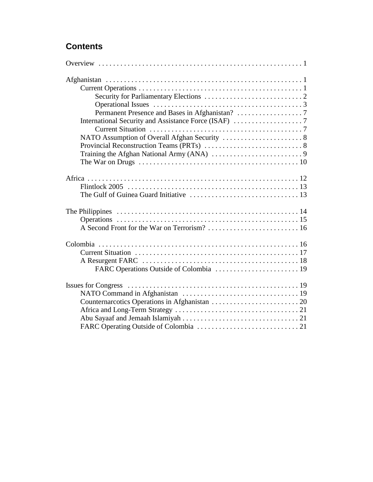# **Contents**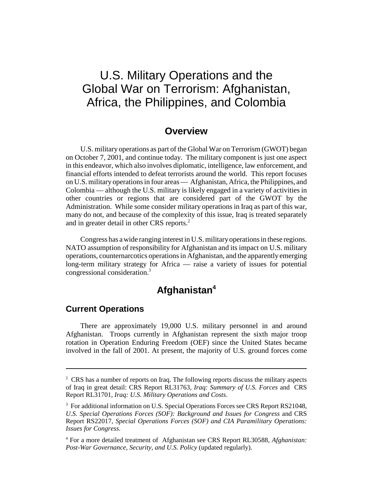# U.S. Military Operations and the Global War on Terrorism: Afghanistan, Africa, the Philippines, and Colombia

#### **Overview**

U.S. military operations as part of the Global War on Terrorism (GWOT) began on October 7, 2001, and continue today. The military component is just one aspect in this endeavor, which also involves diplomatic, intelligence, law enforcement, and financial efforts intended to defeat terrorists around the world. This report focuses on U.S. military operations in four areas — Afghanistan, Africa, the Philippines, and Colombia — although the U.S. military is likely engaged in a variety of activities in other countries or regions that are considered part of the GWOT by the Administration. While some consider military operations in Iraq as part of this war, many do not, and because of the complexity of this issue, Iraq is treated separately and in greater detail in other CRS reports.<sup>2</sup>

Congress has a wide ranging interest in U.S. military operations in these regions. NATO assumption of responsibility for Afghanistan and its impact on U.S. military operations, counternarcotics operations in Afghanistan, and the apparently emerging long-term military strategy for Africa — raise a variety of issues for potential congressional consideration.3

# **Afghanistan4**

#### **Current Operations**

There are approximately 19,000 U.S. military personnel in and around Afghanistan. Troops currently in Afghanistan represent the sixth major troop rotation in Operation Enduring Freedom (OEF) since the United States became involved in the fall of 2001. At present, the majority of U.S. ground forces come

<sup>&</sup>lt;sup>2</sup> CRS has a number of reports on Iraq. The following reports discuss the military aspects of Iraq in great detail: CRS Report RL31763, *Iraq: Summary of U.S. Forces* and CRS Report RL31701, *Iraq: U.S. Military Operations and Costs*.

<sup>&</sup>lt;sup>3</sup> For additional information on U.S. Special Operations Forces see CRS Report RS21048, *U.S. Special Operations Forces (SOF): Background and Issues for Congress* and CRS Report RS22017, *Special Operations Forces (SOF) and CIA Paramilitary Operations: Issues for Congress*.

<sup>4</sup> For a more detailed treatment of Afghanistan see CRS Report RL30588, *Afghanistan: Post-War Governance, Security, and U.S. Policy* (updated regularly).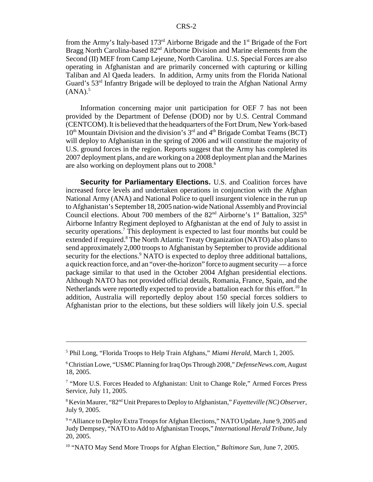from the Army's Italy-based 173rd Airborne Brigade and the 1st Brigade of the Fort Bragg North Carolina-based 82<sup>nd</sup> Airborne Division and Marine elements from the Second (II) MEF from Camp Lejeune, North Carolina. U.S. Special Forces are also operating in Afghanistan and are primarily concerned with capturing or killing Taliban and Al Qaeda leaders. In addition, Army units from the Florida National Guard's 53rd Infantry Brigade will be deployed to train the Afghan National Army  $(ANA).$ <sup>5</sup>

Information concerning major unit participation for OEF 7 has not been provided by the Department of Defense (DOD) nor by U.S. Central Command (CENTCOM). It is believed that the headquarters of the Fort Drum, New York-based  $10<sup>th</sup>$  Mountain Division and the division's  $3<sup>rd</sup>$  and  $4<sup>th</sup>$  Brigade Combat Teams (BCT) will deploy to Afghanistan in the spring of 2006 and will constitute the majority of U.S. ground forces in the region. Reports suggest that the Army has completed its 2007 deployment plans, and are working on a 2008 deployment plan and the Marines are also working on deployment plans out to 2008.<sup>6</sup>

**Security for Parliamentary Elections.** U.S. and Coalition forces have increased force levels and undertaken operations in conjunction with the Afghan National Army (ANA) and National Police to quell insurgent violence in the run up to Afghanistan's September 18, 2005 nation-wide National Assembly and Provincial Council elections. About 700 members of the  $82<sup>nd</sup>$  Airborne's 1<sup>st</sup> Battalion, 325<sup>th</sup> Airborne Infantry Regiment deployed to Afghanistan at the end of July to assist in security operations.<sup>7</sup> This deployment is expected to last four months but could be extended if required.<sup>8</sup> The North Atlantic Treaty Organization (NATO) also plans to send approximately 2,000 troops to Afghanistan by September to provide additional security for the elections.<sup>9</sup> NATO is expected to deploy three additional battalions, a quick reaction force, and an "over-the-horizon" force to augment security — a force package similar to that used in the October 2004 Afghan presidential elections. Although NATO has not provided official details, Romania, France, Spain, and the Netherlands were reportedly expected to provide a battalion each for this effort.<sup>10</sup> In addition, Australia will reportedly deploy about 150 special forces soldiers to Afghanistan prior to the elections, but these soldiers will likely join U.S. special

<sup>5</sup> Phil Long, "Florida Troops to Help Train Afghans," *Miami Herald,* March 1, 2005.

<sup>6</sup> Christian Lowe, "USMC Planning for Iraq Ops Through 2008," *DefenseNews.com,* August 18, 2005.

<sup>&</sup>lt;sup>7</sup> "More U.S. Forces Headed to Afghanistan: Unit to Change Role," Armed Forces Press Service, July 11, 2005.

<sup>8</sup> Kevin Maurer, "82nd Unit Prepares to Deploy to Afghanistan," *Fayetteville (NC) Observer,* July 9, 2005.

<sup>&</sup>lt;sup>9</sup> "Alliance to Deploy Extra Troops for Afghan Elections," NATO Update, June 9, 2005 and Judy Dempsey, "NATO to Add to Afghanistan Troops," *International Herald Tribune,* July 20, 2005.

<sup>10 &</sup>quot;NATO May Send More Troops for Afghan Election," *Baltimore Sun,* June 7, 2005.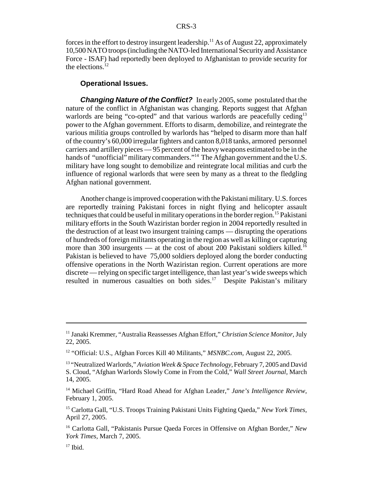forces in the effort to destroy insurgent leadership.<sup>11</sup> As of August 22, approximately 10,500 NATO troops (including the NATO-led International Security and Assistance Force - ISAF) had reportedly been deployed to Afghanistan to provide security for the elections. $^{12}$ 

#### **Operational Issues.**

*Changing Nature of the Conflict?* In early 2005, some postulated that the nature of the conflict in Afghanistan was changing. Reports suggest that Afghan warlords are being "co-opted" and that various warlords are peacefully ceding<sup>13</sup> power to the Afghan government. Efforts to disarm, demobilize, and reintegrate the various militia groups controlled by warlords has "helped to disarm more than half of the country's 60,000 irregular fighters and canton 8,018 tanks, armored personnel carriers and artillery pieces — 95 percent of the heavy weapons estimated to be in the hands of "unofficial" military commanders."<sup>14</sup> The Afghan government and the U.S. military have long sought to demobilize and reintegrate local militias and curb the influence of regional warlords that were seen by many as a threat to the fledgling Afghan national government.

Another change is improved cooperation with the Pakistani military. U.S. forces are reportedly training Pakistani forces in night flying and helicopter assault techniques that could be useful in military operations in the border region.<sup>15</sup> Pakistani military efforts in the South Waziristan border region in 2004 reportedly resulted in the destruction of at least two insurgent training camps — disrupting the operations of hundreds of foreign militants operating in the region as well as killing or capturing more than 300 insurgents — at the cost of about 200 Pakistani soldiers killed.<sup>16</sup> Pakistan is believed to have 75,000 soldiers deployed along the border conducting offensive operations in the North Waziristan region. Current operations are more discrete — relying on specific target intelligence, than last year's wide sweeps which resulted in numerous casualties on both sides.<sup>17</sup> Despite Pakistan's military

<sup>11</sup> Janaki Kremmer, "Australia Reassesses Afghan Effort," *Christian Science Monitor,* July 22, 2005.

<sup>12 &</sup>quot;Official: U.S., Afghan Forces Kill 40 Militants," *MSNBC.com,* August 22, 2005.

<sup>13 &</sup>quot;Neutralized Warlords," *Aviation Week & Space Technology,* February 7, 2005 and David S. Cloud, "Afghan Warlords Slowly Come in From the Cold," *Wall Street Journal,* March 14, 2005.

<sup>14</sup> Michael Griffin, "Hard Road Ahead for Afghan Leader," *Jane's Intelligence Review,* February 1, 2005.

<sup>15</sup> Carlotta Gall, "U.S. Troops Training Pakistani Units Fighting Qaeda," *New York Times,* April 27, 2005.

<sup>16</sup> Carlotta Gall, "Pakistanis Pursue Qaeda Forces in Offensive on Afghan Border," *New York Times,* March 7, 2005.

 $17$  Ibid.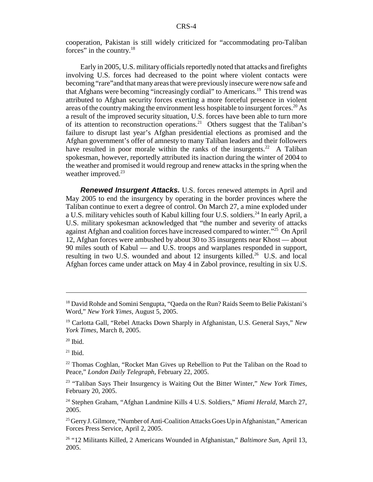cooperation, Pakistan is still widely criticized for "accommodating pro-Taliban forces" in the country.<sup>18</sup>

Early in 2005, U.S. military officials reportedly noted that attacks and firefights involving U.S. forces had decreased to the point where violent contacts were becoming "rare"and that many areas that were previously insecure were now safe and that Afghans were becoming "increasingly cordial" to Americans.19 This trend was attributed to Afghan security forces exerting a more forceful presence in violent areas of the country making the environment less hospitable to insurgent forces.<sup>20</sup> As a result of the improved security situation, U.S. forces have been able to turn more of its attention to reconstruction operations.<sup>21</sup> Others suggest that the Taliban's failure to disrupt last year's Afghan presidential elections as promised and the Afghan government's offer of amnesty to many Taliban leaders and their followers have resulted in poor morale within the ranks of the insurgents.<sup>22</sup> A Taliban spokesman, however, reportedly attributed its inaction during the winter of 2004 to the weather and promised it would regroup and renew attacks in the spring when the weather improved.<sup>23</sup>

*Renewed Insurgent Attacks.* U.S. forces renewed attempts in April and May 2005 to end the insurgency by operating in the border provinces where the Taliban continue to exert a degree of control. On March 27, a mine exploded under a U.S. military vehicles south of Kabul killing four U.S. soldiers.24 In early April, a U.S. military spokesman acknowledged that "the number and severity of attacks against Afghan and coalition forces have increased compared to winter."25 On April 12, Afghan forces were ambushed by about 30 to 35 insurgents near Khost — about 90 miles south of Kabul — and U.S. troops and warplanes responded in support, resulting in two U.S. wounded and about 12 insurgents killed.<sup>26</sup> U.S. and local Afghan forces came under attack on May 4 in Zabol province, resulting in six U.S.

 $21$  Ibid.

<sup>&</sup>lt;sup>18</sup> David Rohde and Somini Sengupta, "Qaeda on the Run? Raids Seem to Belie Pakistani's Word," *New York Yimes,* August 5, 2005.

<sup>19</sup> Carlotta Gall, "Rebel Attacks Down Sharply in Afghanistan, U.S. General Says," *New York Times,* March 8, 2005.

 $20$  Ibid.

 $22$  Thomas Coghlan, "Rocket Man Gives up Rebellion to Put the Taliban on the Road to Peace," *London Daily Telegraph,* February 22, 2005.

<sup>23 &</sup>quot;Taliban Says Their Insurgency is Waiting Out the Bitter Winter," *New York Times,* February 20, 2005.

<sup>24</sup> Stephen Graham, "Afghan Landmine Kills 4 U.S. Soldiers," *Miami Herald,* March 27, 2005.

<sup>&</sup>lt;sup>25</sup> Gerry J. Gilmore, "Number of Anti-Coalition Attacks Goes Up in Afghanistan," American Forces Press Service, April 2, 2005.

<sup>26 &</sup>quot;12 Militants Killed, 2 Americans Wounded in Afghanistan," *Baltimore Sun,* April 13, 2005.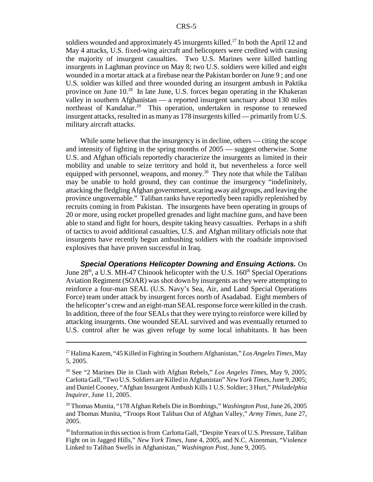soldiers wounded and approximately 45 insurgents killed.<sup>27</sup> In both the April 12 and May 4 attacks, U.S. fixed-wing aircraft and helicopters were credited with causing the majority of insurgent casualties. Two U.S. Marines were killed battling insurgents in Laghman province on May 8; two U.S. soldiers were killed and eight wounded in a mortar attack at a firebase near the Pakistan border on June 9 ; and one U.S. soldier was killed and three wounded during an insurgent ambush in Paktika province on June 10.28 In late June, U.S. forces began operating in the Khakeran valley in southern Afghanistan — a reported insurgent sanctuary about 130 miles northeast of Kandahar.<sup>29</sup> This operation, undertaken in response to renewed insurgent attacks, resulted in as many as 178 insurgents killed — primarily from U.S. military aircraft attacks.

While some believe that the insurgency is in decline, others — citing the scope and intensity of fighting in the spring months of 2005 — suggest otherwise. Some U.S. and Afghan officials reportedly characterize the insurgents as limited in their mobility and unable to seize territory and hold it, but nevertheless a force well equipped with personnel, weapons, and money.<sup>30</sup> They note that while the Taliban may be unable to hold ground, they can continue the insurgency "indefinitely, attacking the fledgling Afghan government, scaring away aid groups, and leaving the province ungovernable." Taliban ranks have reportedly been rapidly replenished by recruits coming in from Pakistan. The insurgents have been operating in groups of 20 or more, using rocket propelled grenades and light machine guns, and have been able to stand and fight for hours, despite taking heavy casualties. Perhaps in a shift of tactics to avoid additional casualties, U.S. and Afghan military officials note that insurgents have recently begun ambushing soldiers with the roadside improvised explosives that have proven successful in Iraq.

*Special Operations Helicopter Downing and Ensuing Actions.* On June  $28<sup>th</sup>$ , a U.S. MH-47 Chinook helicopter with the U.S. 160<sup>th</sup> Special Operations Aviation Regiment (SOAR) was shot down by insurgents as they were attempting to reinforce a four-man SEAL (U.S. Navy's Sea, Air, and Land Special Operations Force) team under attack by insurgent forces north of Asadabad. Eight members of the helicopter's crew and an eight-man SEAL response force were killed in the crash. In addition, three of the four SEALs that they were trying to reinforce were killed by attacking insurgents. One wounded SEAL survived and was eventually returned to U.S. control after he was given refuge by some local inhabitants. It has been

<sup>27</sup> Halima Kazem, "45 Killed in Fighting in Southern Afghanistan," *Los Angeles Times,* May 5, 2005.

<sup>28</sup> See "2 Marines Die in Clash with Afghan Rebels," *Los Angeles Times,* May 9, 2005; Carlotta Gall, "Two U.S. Soldiers are Killed in Afghanistan" *New York Times,* June 9, 2005; and Daniel Cooney, "Afghan Insurgent Ambush Kills 1 U.S. Soldier; 3 Hurt," *Philadelphia Inquirer,* June 11, 2005.

<sup>29</sup> Thomas Munita, "178 Afghan Rebels Die in Bombings," *Washington Post,* June 26, 2005 and Thomas Munita, "Troops Root Taliban Out of Afghan Valley," *Army Times,* June 27, 2005.

<sup>&</sup>lt;sup>30</sup> Information in this section is from Carlotta Gall, "Despite Years of U.S. Pressure, Taliban Fight on in Jagged Hills," *New York Times,* June 4, 2005, and N.C. Aizenman, "Violence Linked to Taliban Swells in Afghanistan," *Washington Post,* June 9, 2005.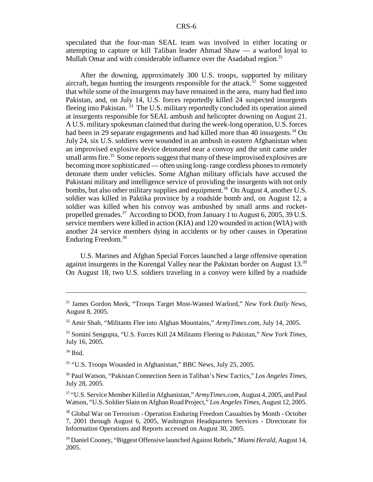speculated that the four-man SEAL team was involved in either locating or attempting to capture or kill Taliban leader Ahmad Shaw — a warlord loyal to Mullah Omar and with considerable influence over the Asadabad region.<sup>31</sup>

After the downing, approximately 300 U.S. troops, supported by military aircraft, began hunting the insurgents responsible for the attack.<sup>32</sup> Some suggested that while some of the insurgents may have remained in the area, many had fled into Pakistan, and, on July 14, U.S. forces reportedly killed 24 suspected insurgents fleeing into Pakistan.<sup>33</sup> The U.S. military reportedly concluded its operation aimed at insurgents responsible for SEAL ambush and helicopter downing on August 21. A U.S. military spokesman claimed that during the week-long operation, U.S. forces had been in 29 separate engagements and had killed more than 40 insurgents.<sup>34</sup> On July 24, six U.S. soldiers were wounded in an ambush in eastern Afghanistan when an improvised explosive device detonated near a convoy and the unit came under small arms fire.<sup>35</sup> Some reports suggest that many of these improvised explosives are becoming more sophisticated — often using long- range cordless phones to remotely detonate them under vehicles. Some Afghan military officials have accused the Pakistani military and intelligence service of providing the insurgents with not only bombs, but also other military supplies and equipment.<sup>36</sup> On August 4, another U.S. soldier was killed in Paktika province by a roadside bomb and, on August 12, a soldier was killed when his convoy was ambushed by small arms and rocketpropelled grenades.<sup>37</sup> According to DOD, from January 1 to August 6, 2005, 39 U.S. service members were killed in action (KIA) and 120 wounded in action (WIA) with another 24 service members dying in accidents or by other causes in Operation Enduring Freedom.<sup>38</sup>

U.S. Marines and Afghan Special Forces launched a large offensive operation against insurgents in the Korengal Valley near the Pakistan border on August  $13.^{39}$ On August 18, two U.S. soldiers traveling in a convoy were killed by a roadside

35 "U.S. Troops Wounded in Afghanistan," BBC News, July 25, 2005.

36 Paul Watson, "Pakistan Connection Seen in Taliban's New Tactics," *Los Angeles Times,* July 28, 2005.

37 "U.S. Service Member Killed in Afghanistan," *ArmyTimes.com,* August 4, 2005, and Paul Watson, "U.S. Soldier Slain on Afghan Road Project," *Los Angeles Times,* August 12, 2005.

38 Global War on Terrorism - Operation Enduring Freedom Casualties by Month - October 7, 2001 through August 6, 2005, Washington Headquarters Services - Directorate for Information Operations and Reports accessed on August 30, 2005.

39 Daniel Cooney, "Biggest Offensive launched Against Rebels," *Miami Herald,* August 14, 2005.

<sup>31</sup> James Gordon Meek, "Troops Target Most-Wanted Warlord," *New York Daily News,* August 8, 2005.

<sup>32</sup> Amir Shah, "Militants Flee into Afghan Mountains," *ArmyTimes.com,* July 14, 2005.

<sup>33</sup> Somini Sengupta, "U.S. Forces Kill 24 Militants Fleeing to Pakistan," *New York Times,* July 16, 2005.

 $34$  Ibid.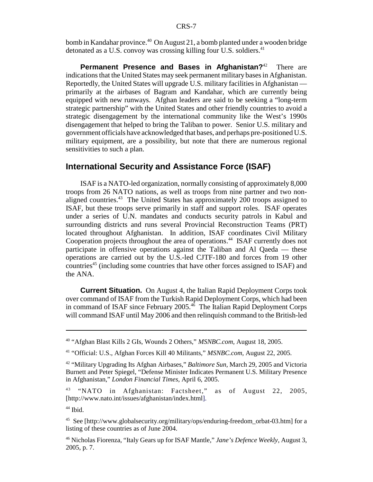bomb in Kandahar province.<sup>40</sup> On August 21, a bomb planted under a wooden bridge detonated as a U.S. convoy was crossing killing four U.S. soldiers.<sup>41</sup>

**Permanent Presence and Bases in Afghanistan?**<sup>42</sup> There are indications that the United States may seek permanent military bases in Afghanistan. Reportedly, the United States will upgrade U.S. military facilities in Afghanistan primarily at the airbases of Bagram and Kandahar, which are currently being equipped with new runways. Afghan leaders are said to be seeking a "long-term strategic partnership" with the United States and other friendly countries to avoid a strategic disengagement by the international community like the West's 1990s disengagement that helped to bring the Taliban to power. Senior U.S. military and government officials have acknowledged that bases, and perhaps pre-positioned U.S. military equipment, are a possibility, but note that there are numerous regional sensitivities to such a plan.

#### **International Security and Assistance Force (ISAF)**

ISAF is a NATO-led organization, normally consisting of approximately 8,000 troops from 26 NATO nations, as well as troops from nine partner and two nonaligned countries.<sup>43</sup> The United States has approximately 200 troops assigned to ISAF, but these troops serve primarily in staff and support roles. ISAF operates under a series of U.N. mandates and conducts security patrols in Kabul and surrounding districts and runs several Provincial Reconstruction Teams (PRT) located throughout Afghanistan. In addition, ISAF coordinates Civil Military Cooperation projects throughout the area of operations.<sup>44</sup> ISAF currently does not participate in offensive operations against the Taliban and Al Qaeda — these operations are carried out by the U.S.-led CJTF-180 and forces from 19 other countries<sup>45</sup> (including some countries that have other forces assigned to ISAF) and the ANA.

**Current Situation.** On August 4, the Italian Rapid Deployment Corps took over command of ISAF from the Turkish Rapid Deployment Corps, which had been in command of ISAF since February 2005.<sup>46</sup> The Italian Rapid Deployment Corps will command ISAF until May 2006 and then relinquish command to the British-led

<sup>40 &</sup>quot;Afghan Blast Kills 2 GIs, Wounds 2 Others," *MSNBC.com,* August 18, 2005.

<sup>41 &</sup>quot;Official: U.S., Afghan Forces Kill 40 Militants," *MSNBC.com,* August 22, 2005.

<sup>42 &</sup>quot;Military Upgrading Its Afghan Airbases," *Baltimore Sun,* March 29, 2005 and Victoria Burnett and Peter Spiegel, "Defense Minister Indicates Permanent U.S. Military Presence in Afghanistan," *London Financial Times,* April 6, 2005.

<sup>&</sup>lt;sup>43</sup> "NATO in Afghanistan: Factsheet," as of August 22, 2005, [http://www.nato.int/issues/afghanistan/index.html].

<sup>&</sup>lt;sup>44</sup> Ibid.

<sup>&</sup>lt;sup>45</sup> See [http://www.globalsecurity.org/military/ops/enduring-freedom\_orbat-03.htm] for a listing of these countries as of June 2004.

<sup>46</sup> Nicholas Fiorenza, "Italy Gears up for ISAF Mantle," *Jane's Defence Weekly*, August 3, 2005, p. 7.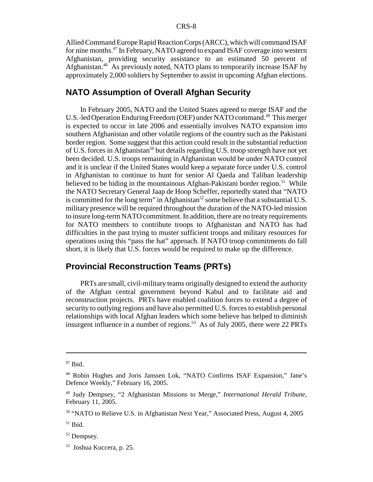Allied Command Europe Rapid Reaction Corps (ARCC), which will command ISAF for nine months.47 In February, NATO agreed to expand ISAF coverage into western Afghanistan, providing security assistance to an estimated 50 percent of Afghanistan.48 As previously noted, NATO plans to temporarily increase ISAF by approximately 2,000 soldiers by September to assist in upcoming Afghan elections.

#### **NATO Assumption of Overall Afghan Security**

In February 2005, NATO and the United States agreed to merge ISAF and the U.S.-led Operation Enduring Freedom (OEF) under NATO command.<sup>49</sup> This merger is expected to occur in late 2006 and essentially involves NATO expansion into southern Afghanistan and other volatile regions of the country such as the Pakistani border region. Some suggest that this action could result in the substantial reduction of U.S. forces in Afghanistan<sup>50</sup> but details regarding U.S. troop strength have not yet been decided. U.S. troops remaining in Afghanistan would be under NATO control and it is unclear if the United States would keep a separate force under U.S. control in Afghanistan to continue to hunt for senior Al Qaeda and Taliban leadership believed to be hiding in the mountainous Afghan-Pakistani border region.<sup>51</sup> While the NATO Secretary General Jaap de Hoop Scheffer, reportedly stated that "NATO is committed for the long term" in Afghanistan<sup>52</sup> some believe that a substantial U.S. military presence will be required throughout the duration of the NATO-led mission to insure long-term NATO commitment. In addition, there are no treaty requirements for NATO members to contribute troops to Afghanistan and NATO has had difficulties in the past trying to muster sufficient troops and military resources for operations using this "pass the hat" approach. If NATO troop commitments do fall short, it is likely that U.S. forces would be required to make up the difference.

#### **Provincial Reconstruction Teams (PRTs)**

PRTs are small, civil-military teams originally designed to extend the authority of the Afghan central government beyond Kabul and to facilitate aid and reconstruction projects. PRTs have enabled coalition forces to extend a degree of security to outlying regions and have also permitted U.S. forces to establish personal relationships with local Afghan leaders which some believe has helped to diminish insurgent influence in a number of regions.<sup>53</sup> As of July 2005, there were 22 PRTs

 $47$  Ibid.

<sup>48</sup> Robin Hughes and Joris Janssen Lok, "NATO Confirms ISAF Expansion," Jane's Defence Weekly," February 16, 2005.

<sup>49</sup> Judy Dempsey, "2 Afghanistan Missions to Merge," *International Herald Tribune,* February 11, 2005.

<sup>&</sup>lt;sup>50</sup> "NATO to Relieve U.S. in Afghanistan Next Year," Associated Press, August 4, 2005

 $51$  Ibid.

<sup>52</sup> Dempsey.

<sup>53</sup> Joshua Kuccera, p. 25.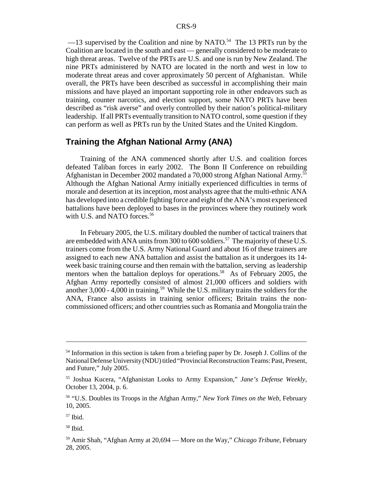$-13$  supervised by the Coalition and nine by NATO.<sup>54</sup> The 13 PRTs run by the Coalition are located in the south and east — generally considered to be moderate to high threat areas. Twelve of the PRTs are U.S. and one is run by New Zealand. The nine PRTs administered by NATO are located in the north and west in low to moderate threat areas and cover approximately 50 percent of Afghanistan. While overall, the PRTs have been described as successful in accomplishing their main missions and have played an important supporting role in other endeavors such as training, counter narcotics, and election support, some NATO PRTs have been described as "risk averse" and overly controlled by their nation's political-military leadership. If all PRTs eventually transition to NATO control, some question if they can perform as well as PRTs run by the United States and the United Kingdom.

#### **Training the Afghan National Army (ANA)**

Training of the ANA commenced shortly after U.S. and coalition forces defeated Taliban forces in early 2002. The Bonn II Conference on rebuilding Afghanistan in December 2002 mandated a 70,000 strong Afghan National Army.55 Although the Afghan National Army initially experienced difficulties in terms of morale and desertion at its inception, most analysts agree that the multi-ethnic ANA has developed into a credible fighting force and eight of the ANA's most experienced battalions have been deployed to bases in the provinces where they routinely work with U.S. and NATO forces.<sup>56</sup>

In February 2005, the U.S. military doubled the number of tactical trainers that are embedded with ANA units from 300 to 600 soldiers.<sup>57</sup> The majority of these U.S. trainers come from the U.S. Army National Guard and about 16 of these trainers are assigned to each new ANA battalion and assist the battalion as it undergoes its 14 week basic training course and then remain with the battalion, serving as leadership mentors when the battalion deploys for operations.<sup>58</sup> As of February 2005, the Afghan Army reportedly consisted of almost 21,000 officers and soldiers with another  $3,000 - 4,000$  in training.<sup>59</sup> While the U.S. military trains the soldiers for the ANA, France also assists in training senior officers; Britain trains the noncommissioned officers; and other countries such as Romania and Mongolia train the

<sup>&</sup>lt;sup>54</sup> Information in this section is taken from a briefing paper by Dr. Joseph J. Collins of the National Defense University (NDU) titled "Provincial Reconstruction Teams: Past, Present, and Future," July 2005.

<sup>55</sup> Joshua Kucera, "Afghanistan Looks to Army Expansion," *Jane's Defense Weekly,* October 13, 2004, p. 6.

<sup>56 &</sup>quot;U.S. Doubles its Troops in the Afghan Army," *New York Times on the Web,* February 10, 2005.

 $57$  Ibid.

<sup>58</sup> Ibid.

<sup>59</sup> Amir Shah, "Afghan Army at 20,694 — More on the Way," *Chicago Tribune,* February 28, 2005.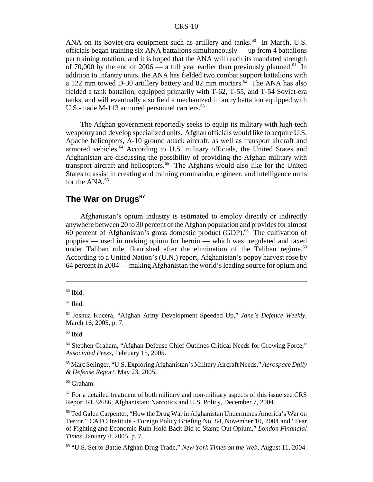ANA on its Soviet-era equipment such as artillery and tanks.<sup>60</sup> In March, U.S. officials began training six ANA battalions simultaneously — up from 4 battalions per training rotation, and it is hoped that the ANA will reach its mandated strength of 70,000 by the end of  $2006 - a$  full year earlier than previously planned.<sup>61</sup> In addition to infantry units, the ANA has fielded two combat support battalions with a 122 mm towed D-30 artillery battery and 82 mm mortars.<sup>62</sup> The ANA has also fielded a tank battalion, equipped primarily with T-62, T-55, and T-54 Soviet-era tanks, and will eventually also field a mechanized infantry battalion equipped with U.S.-made M-113 armored personnel carriers.<sup>63</sup>

The Afghan government reportedly seeks to equip its military with high-tech weaponry and develop specialized units. Afghan officials would like to acquire U.S. Apache helicopters, A-10 ground attack aircraft, as well as transport aircraft and armored vehicles.<sup>64</sup> According to U.S. military officials, the United States and Afghanistan are discussing the possibility of providing the Afghan military with transport aircraft and helicopters.65 The Afghans would also like for the United States to assist in creating and training commando, engineer, and intelligence units for the ANA.<sup>66</sup>

#### **The War on Drugs<sup>67</sup>**

Afghanistan's opium industry is estimated to employ directly or indirectly anywhere between 20 to 30 percent of the Afghan population and provides for almost 60 percent of Afghanistan's gross domestic product  $(GDP)$ <sup>68</sup>. The cultivation of poppies — used in making opium for heroin — which was regulated and taxed under Taliban rule, flourished after the elimination of the Taliban regime.<sup>69</sup> According to a United Nation's (U.N.) report, Afghanistan's poppy harvest rose by 64 percent in 2004 — making Afghanistan the world's leading source for opium and

 $60$  Ibid.

 $61$  Ibid.

<sup>62</sup> Joshua Kucera, "Afghan Army Development Speeded Up," *Jane's Defence Weekly*, March 16, 2005, p. 7.

 $63$  Ibid.

<sup>64</sup> Stephen Graham, "Afghan Defense Chief Outlines Critical Needs for Growing Force," *Associated Press,* February 15, 2005.

<sup>65</sup> Marc Selinger, "U.S. Exploring Afghanistan's Military Aircraft Needs," *Aerospace Daily & Defense Report,* May 23, 2005.

<sup>66</sup> Graham.

 $67$  For a detailed treatment of both military and non-military aspects of this issue see CRS Report RL32686, Afghanistan: Narcotics and U.S. Policy, December 7, 2004.

<sup>68</sup> Ted Galen Carpenter, "How the Drug War in Afghanistan Undermines America's War on Terror," CATO Institute - Foreign Policy Briefing No. 84, November 10, 2004 and "Fear of Fighting and Economic Ruin Hold Back Bid to Stamp Out Opium," *London Financial Times,* January 4, 2005, p. 7.

<sup>69 &</sup>quot;U.S. Set to Battle Afghan Drug Trade," *New York Times on the Web,* August 11, 2004.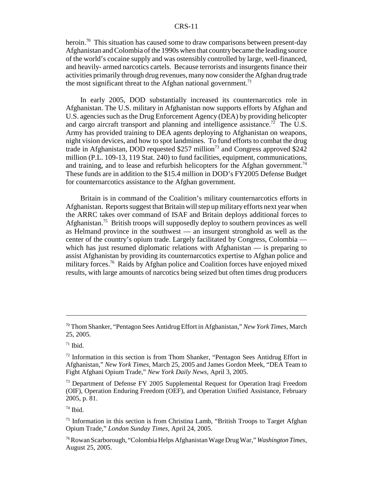#### CRS-11

heroin.<sup>70</sup> This situation has caused some to draw comparisons between present-day Afghanistan and Colombia of the 1990s when that country became the leading source of the world's cocaine supply and was ostensibly controlled by large, well-financed, and heavily- armed narcotics cartels. Because terrorists and insurgents finance their activities primarily through drug revenues, many now consider the Afghan drug trade the most significant threat to the Afghan national government.<sup>71</sup>

In early 2005, DOD substantially increased its counternarcotics role in Afghanistan. The U.S. military in Afghanistan now supports efforts by Afghan and U.S. agencies such as the Drug Enforcement Agency (DEA) by providing helicopter and cargo aircraft transport and planning and intelligence assistance.<sup>72</sup> The U.S. Army has provided training to DEA agents deploying to Afghanistan on weapons, night vision devices, and how to spot landmines. To fund efforts to combat the drug trade in Afghanistan, DOD requested  $$257$  million<sup>73</sup> and Congress approved  $$242$ million (P.L. 109-13, 119 Stat. 240) to fund facilities, equipment, communications, and training, and to lease and refurbish helicopters for the Afghan government.<sup>74</sup> These funds are in addition to the \$15.4 million in DOD's FY2005 Defense Budget for counternarcotics assistance to the Afghan government.

Britain is in command of the Coalition's military counternarcotics efforts in Afghanistan. Reports suggest that Britain will step up military efforts next year when the ARRC takes over command of ISAF and Britain deploys additional forces to Afghanistan.<sup>75</sup> British troops will supposedly deploy to southern provinces as well as Helmand province in the southwest — an insurgent stronghold as well as the center of the country's opium trade. Largely facilitated by Congress, Colombia which has just resumed diplomatic relations with Afghanistan — is preparing to assist Afghanistan by providing its counternarcotics expertise to Afghan police and military forces.<sup>76</sup> Raids by Afghan police and Coalition forces have enjoyed mixed results, with large amounts of narcotics being seized but often times drug producers

<sup>70</sup> Thom Shanker, "Pentagon Sees Antidrug Effort in Afghanistan," *New York Times,* March 25, 2005.

 $71$  Ibid.

 $72$  Information in this section is from Thom Shanker, "Pentagon Sees Antidrug Effort in Afghanistan," *New York Times,* March 25, 2005 and James Gordon Meek, "DEA Team to Fight Afghani Opium Trade," *New York Daily News,* April 3, 2005.

<sup>&</sup>lt;sup>73</sup> Department of Defense FY 2005 Supplemental Request for Operation Iraqi Freedom (OIF), Operation Enduring Freedom (OEF), and Operation Unified Assistance, February 2005, p. 81.

 $74$  Ibid.

<sup>&</sup>lt;sup>75</sup> Information in this section is from Christina Lamb, "British Troops to Target Afghan Opium Trade," *London Sunday Times,* April 24, 2005.

<sup>76</sup> Rowan Scarborough, "Colombia Helps Afghanistan Wage Drug War," *Washington Times,* August 25, 2005.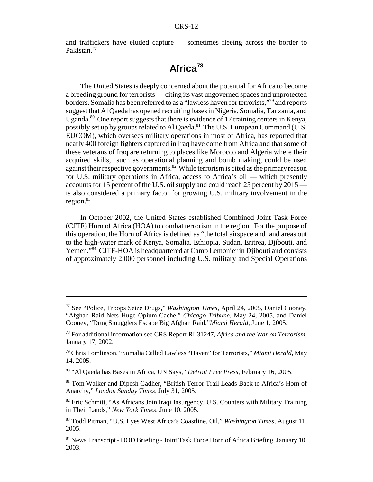and traffickers have eluded capture — sometimes fleeing across the border to Pakistan.<sup>77</sup>

# **Africa<sup>78</sup>**

The United States is deeply concerned about the potential for Africa to become a breeding ground for terrorists — citing its vast ungoverned spaces and unprotected borders. Somalia has been referred to as a "lawless haven for terrorists,"79 and reports suggest that Al Qaeda has opened recruiting bases in Nigeria, Somalia, Tanzania, and Uganda.<sup>80</sup> One report suggests that there is evidence of 17 training centers in Kenya, possibly set up by groups related to Al Qaeda.<sup>81</sup> The U.S. European Command (U.S. EUCOM), which oversees military operations in most of Africa, has reported that nearly 400 foreign fighters captured in Iraq have come from Africa and that some of these veterans of Iraq are returning to places like Morocco and Algeria where their acquired skills, such as operational planning and bomb making, could be used against their respective governments. $82$  While terrorism is cited as the primary reason for U.S. military operations in Africa, access to Africa's oil — which presently accounts for 15 percent of the U.S. oil supply and could reach 25 percent by 2015 is also considered a primary factor for growing U.S. military involvement in the region.<sup>83</sup>

In October 2002, the United States established Combined Joint Task Force (CJTF) Horn of Africa (HOA) to combat terrorism in the region. For the purpose of this operation, the Horn of Africa is defined as "the total airspace and land areas out to the high-water mark of Kenya, Somalia, Ethiopia, Sudan, Eritrea, Djibouti, and Yemen."84 CJTF-HOA is headquartered at Camp Lemonier in Djibouti and consists of approximately 2,000 personnel including U.S. military and Special Operations

80 "Al Qaeda has Bases in Africa, UN Says," *Detroit Free Press,* February 16, 2005.

81 Tom Walker and Dipesh Gadher, "British Terror Trail Leads Back to Africa's Horn of Anarchy," *London Sunday Times,* July 31, 2005.

<sup>77</sup> See "Police, Troops Seize Drugs," *Washington Times,* April 24, 2005, Daniel Cooney, "Afghan Raid Nets Huge Opium Cache," *Chicago Tribune,* May 24, 2005, and Daniel Cooney, "Drug Smugglers Escape Big Afghan Raid,"*Miami Herald,* June 1, 2005.

<sup>78</sup> For additional information see CRS Report RL31247, *Africa and the War on Terrorism*, January 17, 2002.

<sup>79</sup> Chris Tomlinson, "Somalia Called Lawless "Haven" for Terrorists," *Miami Herald,* May 14, 2005.

<sup>&</sup>lt;sup>82</sup> Eric Schmitt, "As Africans Join Iraqi Insurgency, U.S. Counters with Military Training in Their Lands," *New York Times,* June 10, 2005.

<sup>83</sup> Todd Pitman, "U.S. Eyes West Africa's Coastline, Oil," *Washington Times,* August 11, 2005.

<sup>84</sup> News Transcript - DOD Briefing - Joint Task Force Horn of Africa Briefing, January 10. 2003.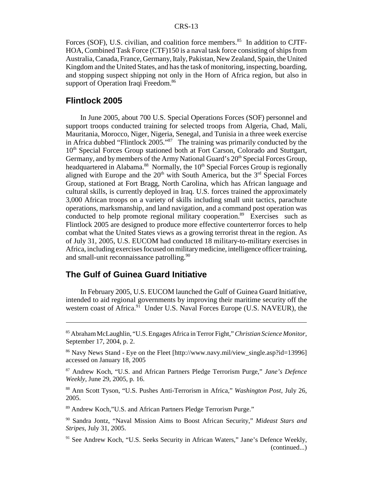Forces (SOF), U.S. civilian, and coalition force members.<sup>85</sup> In addition to CJTF-HOA, Combined Task Force (CTF)150 is a naval task force consisting of ships from Australia, Canada, France, Germany, Italy, Pakistan, New Zealand, Spain, the United Kingdom and the United States, and has the task of monitoring, inspecting, boarding, and stopping suspect shipping not only in the Horn of Africa region, but also in support of Operation Iraqi Freedom.<sup>86</sup>

#### **Flintlock 2005**

In June 2005, about 700 U.S. Special Operations Forces (SOF) personnel and support troops conducted training for selected troops from Algeria, Chad, Mali, Mauritania, Morocco, Niger, Nigeria, Senegal, and Tunisia in a three week exercise in Africa dubbed "Flintlock 2005."87 The training was primarily conducted by the 10<sup>th</sup> Special Forces Group stationed both at Fort Carson, Colorado and Stuttgart, Germany, and by members of the Army National Guard's 20<sup>th</sup> Special Forces Group, headquartered in Alabama.<sup>88</sup> Normally, the 10<sup>th</sup> Special Forces Group is regionally aligned with Europe and the  $20<sup>th</sup>$  with South America, but the  $3<sup>rd</sup>$  Special Forces Group, stationed at Fort Bragg, North Carolina, which has African language and cultural skills, is currently deployed in Iraq. U.S. forces trained the approximately 3,000 African troops on a variety of skills including small unit tactics, parachute operations, marksmanship, and land navigation, and a command post operation was conducted to help promote regional military cooperation.<sup>89</sup> Exercises such as Flintlock 2005 are designed to produce more effective counterterror forces to help combat what the United States views as a growing terrorist threat in the region. As of July 31, 2005, U.S. EUCOM had conducted 18 military-to-military exercises in Africa, including exercises focused on military medicine, intelligence officer training, and small-unit reconnaissance patrolling.<sup>90</sup>

#### **The Gulf of Guinea Guard Initiative**

In February 2005, U.S. EUCOM launched the Gulf of Guinea Guard Initiative, intended to aid regional governments by improving their maritime security off the western coast of Africa.<sup>91</sup> Under U.S. Naval Forces Europe (U.S. NAVEUR), the

89 Andrew Koch,"U.S. and African Partners Pledge Terrorism Purge."

<sup>85</sup> Abraham McLaughlin, "U.S. Engages Africa in Terror Fight," *Christian Science Monitor,* September 17, 2004, p. 2.

<sup>86</sup> Navy News Stand - Eye on the Fleet [http://www.navy.mil/view\_single.asp?id=13996] accessed on January 18, 2005

<sup>87</sup> Andrew Koch, "U.S. and African Partners Pledge Terrorism Purge," *Jane's Defence Weekly*, June 29, 2005, p. 16.

<sup>88</sup> Ann Scott Tyson, "U.S. Pushes Anti-Terrorism in Africa," *Washington Post,* July 26, 2005.

<sup>90</sup> Sandra Jontz, "Naval Mission Aims to Boost African Security," *Mideast Stars and Stripes,* July 31, 2005.

<sup>&</sup>lt;sup>91</sup> See Andrew Koch, "U.S. Seeks Security in African Waters," Jane's Defence Weekly, (continued...)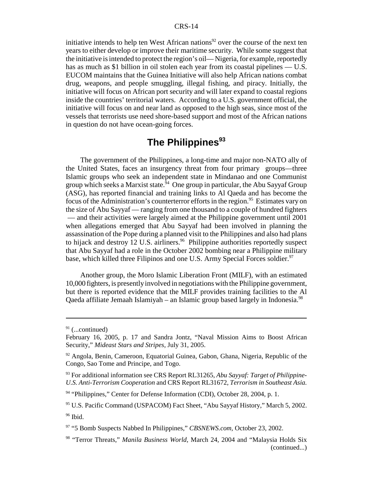initiative intends to help ten West African nations<sup>92</sup> over the course of the next ten years to either develop or improve their maritime security. While some suggest that the initiative is intended to protect the region's oil— Nigeria, for example, reportedly has as much as \$1 billion in oil stolen each year from its coastal pipelines — U.S. EUCOM maintains that the Guinea Initiative will also help African nations combat drug, weapons, and people smuggling, illegal fishing, and piracy. Initially, the initiative will focus on African port security and will later expand to coastal regions inside the countries' territorial waters. According to a U.S. government official, the initiative will focus on and near land as opposed to the high seas, since most of the vessels that terrorists use need shore-based support and most of the African nations in question do not have ocean-going forces.

# **The Philippines<sup>93</sup>**

The government of the Philippines, a long-time and major non-NATO ally of the United States, faces an insurgency threat from four primary groups—three Islamic groups who seek an independent state in Mindanao and one Communist group which seeks a Marxist state.<sup> $\frac{5}{4}$ </sup> One group in particular, the Abu Sayyaf Group (ASG), has reported financial and training links to Al Qaeda and has become the focus of the Administration's counterterror efforts in the region.<sup>95</sup> Estimates vary on the size of Abu Sayyaf — ranging from one thousand to a couple of hundred fighters — and their activities were largely aimed at the Philippine government until 2001 when allegations emerged that Abu Sayyaf had been involved in planning the assassination of the Pope during a planned visit to the Philippines and also had plans to hijack and destroy 12 U.S. airliners.<sup>96</sup> Philippine authorities reportedly suspect that Abu Sayyaf had a role in the October 2002 bombing near a Philippine military base, which killed three Filipinos and one U.S. Army Special Forces soldier.<sup>97</sup>

Another group, the Moro Islamic Liberation Front (MILF), with an estimated 10,000 fighters, is presently involved in negotiations with the Philippine government, but there is reported evidence that the MILF provides training facilities to the Al Qaeda affiliate Jemaah Islamiyah – an Islamic group based largely in Indonesia.<sup>98</sup>

 $91$  (...continued)

February 16, 2005, p. 17 and Sandra Jontz, "Naval Mission Aims to Boost African Security," *Mideast Stars and Stripes,* July 31, 2005.

 $92$  Angola, Benin, Cameroon, Equatorial Guinea, Gabon, Ghana, Nigeria, Republic of the Congo, Sao Tome and Principe, and Togo.

<sup>93</sup> For additional information see CRS Report RL31265, *Abu Sayyaf: Target of Philippine-U.S. Anti-Terrorism Cooperation* and CRS Report RL31672, *Terrorism in Southeast Asia.*

 $94$  "Philippines," Center for Defense Information (CDI), October 28, 2004, p. 1.

<sup>95</sup> U.S. Pacific Command (USPACOM) Fact Sheet, "Abu Sayyaf History," March 5, 2002. 96 Ibid.

<sup>97 &</sup>quot;5 Bomb Suspects Nabbed In Philippines," *CBSNEWS.com,* October 23, 2002.

<sup>98 &</sup>quot;Terror Threats," *Manila Business World,* March 24, 2004 and "Malaysia Holds Six (continued...)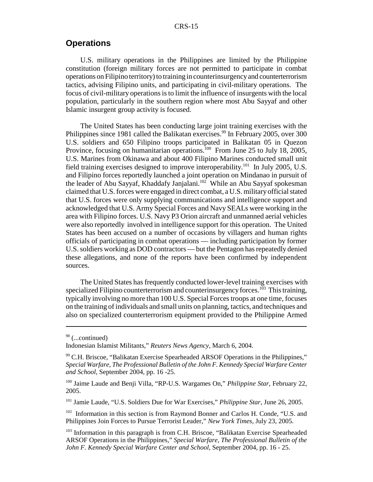#### **Operations**

U.S. military operations in the Philippines are limited by the Philippine constitution (foreign military forces are not permitted to participate in combat operations on Filipino territory) to training in counterinsurgency and counterterrorism tactics, advising Filipino units, and participating in civil-military operations. The focus of civil-military operations is to limit the influence of insurgents with the local population, particularly in the southern region where most Abu Sayyaf and other Islamic insurgent group activity is focused.

The United States has been conducting large joint training exercises with the Philippines since 1981 called the Balikatan exercises.<sup>99</sup> In February 2005, over 300 U.S. soldiers and 650 Filipino troops participated in Balikatan 05 in Quezon Province, focusing on humanitarian operations.<sup>100</sup> From June 25 to July 18, 2005, U.S. Marines from Okinawa and about 400 Filipino Marines conducted small unit field training exercises designed to improve interoperability.101 In July 2005, U.S. and Filipino forces reportedly launched a joint operation on Mindanao in pursuit of the leader of Abu Sayyaf, Khaddafy Janjalani.<sup>102</sup> While an Abu Sayyaf spokesman claimed that U.S. forces were engaged in direct combat, a U.S. military official stated that U.S. forces were only supplying communications and intelligence support and acknowledged that U.S. Army Special Forces and Navy SEALs were working in the area with Filipino forces. U.S. Navy P3 Orion aircraft and unmanned aerial vehicles were also reportedly involved in intelligence support for this operation. The United States has been accused on a number of occasions by villagers and human rights officials of participating in combat operations — including participation by former U.S. soldiers working as DOD contractors — but the Pentagon has repeatedly denied these allegations, and none of the reports have been confirmed by independent sources.

 The United States has frequently conducted lower-level training exercises with specialized Filipino counterterrorism and counterinsurgency forces.<sup>103</sup> This training, typically involving no more than 100 U.S. Special Forces troops at one time, focuses on the training of individuals and small units on planning, tactics, and techniques and also on specialized counterterrorism equipment provided to the Philippine Armed

101 Jamie Laude, "U.S. Soldiers Due for War Exercises," *Philippine Star,* June 26, 2005.

<sup>102</sup> Information in this section is from Raymond Bonner and Carlos H. Conde, "U.S. and Philippines Join Forces to Pursue Terrorist Leader," *New York Times,* July 23, 2005.

<sup>&</sup>lt;sup>98</sup> (...continued)

Indonesian Islamist Militants," *Reuters News Agency,* March 6, 2004.

<sup>99</sup> C.H. Briscoe, "Balikatan Exercise Spearheaded ARSOF Operations in the Philippines," *Special Warfare, The Professional Bulletin of the John F. Kennedy Special Warfare Center and School,* September 2004, pp. 16 -25.

<sup>100</sup> Jaime Laude and Benji Villa, "RP-U.S. Wargames On," *Philippine Star,* February 22, 2005.

<sup>&</sup>lt;sup>103</sup> Information in this paragraph is from C.H. Briscoe, "Balikatan Exercise Spearheaded ARSOF Operations in the Philippines," *Special Warfare, The Professional Bulletin of the John F. Kennedy Special Warfare Center and School,* September 2004, pp. 16 - 25.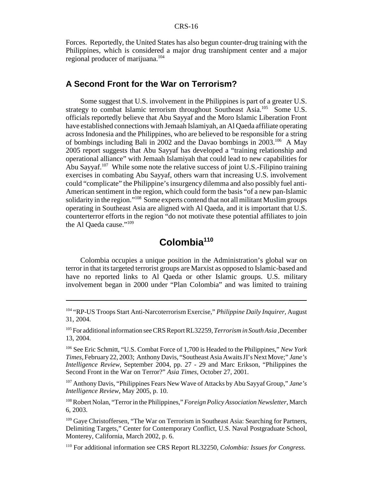Forces. Reportedly, the United States has also begun counter-drug training with the Philippines, which is considered a major drug transhipment center and a major regional producer of marijuana.<sup>104</sup>

#### **A Second Front for the War on Terrorism?**

Some suggest that U.S. involvement in the Philippines is part of a greater U.S. strategy to combat Islamic terrorism throughout Southeast Asia.<sup>105</sup> Some U.S. officials reportedly believe that Abu Sayyaf and the Moro Islamic Liberation Front have established connections with Jemaah Islamiyah, an Al Qaeda affiliate operating across Indonesia and the Philippines, who are believed to be responsible for a string of bombings including Bali in 2002 and the Davao bombings in 2003.106 A May 2005 report suggests that Abu Sayyaf has developed a "training relationship and operational alliance" with Jemaah Islamiyah that could lead to new capabilities for Abu Sayyaf.<sup>107</sup> While some note the relative success of joint U.S.-Filipino training exercises in combating Abu Sayyaf, others warn that increasing U.S. involvement could "complicate" the Philippine's insurgency dilemma and also possibly fuel anti-American sentiment in the region, which could form the basis "of a new pan-Islamic solidarity in the region."<sup>108</sup> Some experts contend that not all militant Muslim groups operating in Southeast Asia are aligned with Al Qaeda, and it is important that U.S. counterterror efforts in the region "do not motivate these potential affiliates to join the Al Qaeda cause."109

## **Colombia110**

Colombia occupies a unique position in the Administration's global war on terror in that its targeted terrorist groups are Marxist as opposed to Islamic-based and have no reported links to Al Qaeda or other Islamic groups. U.S. military involvement began in 2000 under "Plan Colombia" and was limited to training

107 Anthony Davis, "Philippines Fears New Wave of Attacks by Abu Sayyaf Group," *Jane's Intelligence Review*, May 2005, p. 10.

108 Robert Nolan, "Terror in the Philippines," *Foreign Policy Association Newsletter*, March 6, 2003.

<sup>104 &</sup>quot;RP-US Troops Start Anti-Narcoterrorism Exercise," *Philippine Daily Inquirer,* August 31, 2004.

<sup>105</sup> For additional information see CRS Report RL32259, *Terrorism in South Asia ,*December 13, 2004.

<sup>106</sup> See Eric Schmitt, "U.S. Combat Force of 1,700 is Headed to the Philippines," *New York Times,* February 22, 2003; Anthony Davis, "Southeast Asia Awaits JI's Next Move;" *Jane's Intelligence Review,* September 2004, pp. 27 - 29 and Marc Erikson, "Philippines the Second Front in the War on Terror?" *Asia Times,* October 27, 2001.

<sup>&</sup>lt;sup>109</sup> Gaye Christoffersen, "The War on Terrorism in Southeast Asia: Searching for Partners, Delimiting Targets," Center for Contemporary Conflict, U.S. Naval Postgraduate School, Monterey, California, March 2002, p. 6.

<sup>110</sup> For additional information see CRS Report RL32250, *Colombia: Issues for Congress.*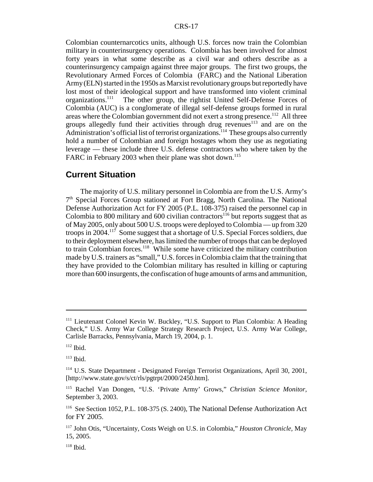Colombian counternarcotics units, although U.S. forces now train the Colombian military in counterinsurgency operations. Colombia has been involved for almost forty years in what some describe as a civil war and others describe as a counterinsurgency campaign against three major groups. The first two groups, the Revolutionary Armed Forces of Colombia (FARC) and the National Liberation Army (ELN) started in the 1950s as Marxist revolutionary groups but reportedly have lost most of their ideological support and have transformed into violent criminal organizations.111 The other group, the rightist United Self-Defense Forces of Colombia (AUC) is a conglomerate of illegal self-defense groups formed in rural areas where the Colombian government did not exert a strong presence.<sup>112</sup> All three groups allegedly fund their activities through drug revenues<sup>113</sup> and are on the  $\beta$  -  $\gamma$  administration's official list of terrorist organizations.<sup>114</sup> These groups also currently hold a number of Colombian and foreign hostages whom they use as negotiating leverage — these include three U.S. defense contractors who where taken by the FARC in February 2003 when their plane was shot down.<sup>115</sup>

#### **Current Situation**

The majority of U.S. military personnel in Colombia are from the U.S. Army's  $7<sup>th</sup>$  Special Forces Group stationed at Fort Bragg, North Carolina. The National Defense Authorization Act for FY 2005 (P.L. 108-375) raised the personnel cap in Colombia to 800 military and 600 civilian contractors<sup>116</sup> but reports suggest that as of May 2005, only about 500 U.S. troops were deployed to Colombia — up from 320 troops in 2004.117 Some suggest that a shortage of U.S. Special Forces soldiers, due to their deployment elsewhere, has limited the number of troops that can be deployed to train Colombian forces.<sup>118</sup> While some have criticized the military contribution made by U.S. trainers as "small," U.S. forces in Colombia claim that the training that they have provided to the Colombian military has resulted in killing or capturing more than 600 insurgents, the confiscation of huge amounts of arms and ammunition,

<sup>&</sup>lt;sup>111</sup> Lieutenant Colonel Kevin W. Buckley, "U.S. Support to Plan Colombia: A Heading Check," U.S. Army War College Strategy Research Project, U.S. Army War College, Carlisle Barracks, Pennsylvania, March 19, 2004, p. 1.

 $112$  Ibid.

 $113$  Ibid.

<sup>114</sup> U.S. State Department - Designated Foreign Terrorist Organizations, April 30, 2001, [http://www.state.gov/s/ct/rls/pgtrpt/2000/2450.htm].

<sup>115</sup> Rachel Van Dongen, "U.S. 'Private Army' Grows," *Christian Science Monitor,* September 3, 2003.

<sup>116</sup> See Section 1052, P.L. 108-375 (S. 2400), The National Defense Authorization Act for FY 2005.

<sup>117</sup> John Otis, "Uncertainty, Costs Weigh on U.S. in Colombia," *Houston Chronicle,* May 15, 2005.

 $118$  Ibid.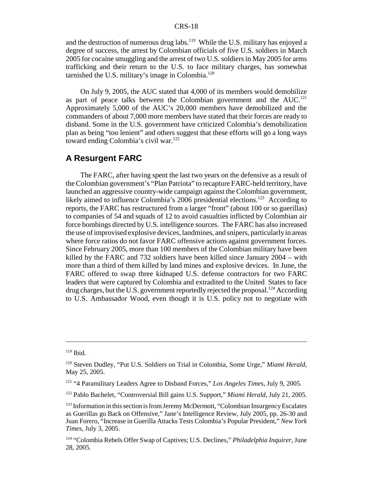and the destruction of numerous drug labs.<sup>119</sup> While the U.S. military has enjoyed a degree of success, the arrest by Colombian officials of five U.S. soldiers in March 2005 for cocaine smuggling and the arrest of two U.S. soldiers in May 2005 for arms trafficking and their return to the U.S. to face military charges, has somewhat tarnished the U.S. military's image in Colombia. $120$ 

On July 9, 2005, the AUC stated that 4,000 of its members would demobilize as part of peace talks between the Colombian government and the AUC.<sup>121</sup> Approximately 5,000 of the AUC's 20,000 members have demobilized and the commanders of about 7,000 more members have stated that their forces are ready to disband. Some in the U.S. government have criticized Colombia's demobilization plan as being "too lenient" and others suggest that these efforts will go a long ways toward ending Colombia's civil war.<sup>122</sup>

#### **A Resurgent FARC**

The FARC, after having spent the last two years on the defensive as a result of the Colombian government's "Plan Patriota" to recapture FARC-held territory, have launched an aggressive country-wide campaign against the Colombian government, likely aimed to influence Colombia's 2006 presidential elections.<sup>123</sup> According to reports, the FARC has restructured from a larger "front" (about 100 or so guerillas) to companies of 54 and squads of 12 to avoid casualties inflicted by Colombian air force bombings directed by U.S. intelligence sources. The FARC has also increased the use of improvised explosive devices, landmines, and snipers, particularly in areas where force ratios do not favor FARC offensive actions against government forces. Since February 2005, more than 100 members of the Colombian military have been killed by the FARC and 732 soldiers have been killed since January 2004 – with more than a third of them killed by land mines and explosive devices. In June, the FARC offered to swap three kidnaped U.S. defense contractors for two FARC leaders that were captured by Colombia and extradited to the United States to face drug charges, but the U.S. government reportedly rejected the proposal.<sup>124</sup> According to U.S. Ambassador Wood, even though it is U.S. policy not to negotiate with

122 Pablo Bachelet, "Controversial Bill gains U.S. Support," *Miami Herald,* July 21, 2005.

 $119$  Ibid.

<sup>120</sup> Steven Dudley, "Put U.S. Soldiers on Trial in Colombia, Some Urge," *Miami Herald,* May 25, 2005.

<sup>121 &</sup>quot;4 Paramilitary Leaders Agree to Disband Forces," *Los Angeles Times,* July 9, 2005.

 $123$  Information in this section is from Jeremy McDermott, "Colombian Insurgency Escalates" as Guerillas go Back on Offensive," Jane's Intelligence Review, July 2005, pp. 26-30 and Juan Forero, "Increase in Guerilla Attacks Tests Colombia's Popular President," *New York Times,* July 3, 2005.

<sup>124 &</sup>quot;Colombia Rebels Offer Swap of Captives; U.S. Declines," *Philadelphia Inquirer,* June 28, 2005.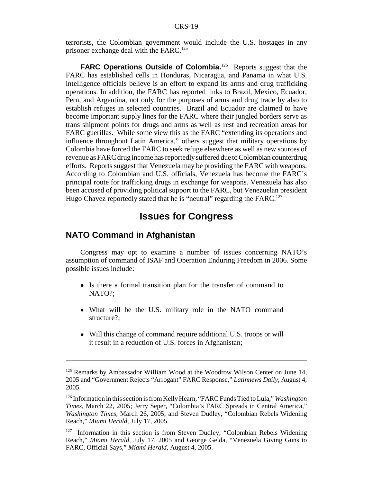terrorists, the Colombian government would include the U.S. hostages in any prisoner exchange deal with the FARC.<sup>125</sup>

**FARC Operations Outside of Colombia.**<sup>126</sup> Reports suggest that the FARC has established cells in Honduras, Nicaragua, and Panama in what U.S. intelligence officials believe is an effort to expand its arms and drug trafficking operations. In addition, the FARC has reported links to Brazil, Mexico, Ecuador, Peru, and Argentina, not only for the purposes of arms and drug trade by also to establish refuges in selected countries. Brazil and Ecuador are claimed to have become important supply lines for the FARC where their jungled borders serve as trans shipment points for drugs and arms as well as rest and recreation areas for FARC guerillas. While some view this as the FARC "extending its operations and influence throughout Latin America," others suggest that military operations by Colombia have forced the FARC to seek refuge elsewhere as well as new sources of revenue as FARC drug income has reportedly suffered due to Colombian counterdrug efforts. Reports suggest that Venezuela may be providing the FARC with weapons. According to Colombian and U.S. officials, Venezuela has become the FARC's principal route for trafficking drugs in exchange for weapons. Venezuela has also been accused of providing political support to the FARC, but Venezuelan president Hugo Chavez reportedly stated that he is "neutral" regarding the FARC.<sup>127</sup>

### **Issues for Congress**

#### **NATO Command in Afghanistan**

Congress may opt to examine a number of issues concerning NATO's assumption of command of ISAF and Operation Enduring Freedom in 2006. Some possible issues include:

- Is there a formal transition plan for the transfer of command to NATO?;
- What will be the U.S. military role in the NATO command structure?;
- ! Will this change of command require additional U.S. troops or will it result in a reduction of U.S. forces in Afghanistan;

<sup>&</sup>lt;sup>125</sup> Remarks by Ambassador William Wood at the Woodrow Wilson Center on June 14, 2005 and "Government Rejects "Arrogant" FARC Response," *Latinnews Daily,* August 4, 2005.

<sup>126</sup> Information in this section is from Kelly Hearn, "FARC Funds Tied to Lula," *Washington Times,* March 22, 2005; Jerry Seper, "Colombia's FARC Spreads in Central America," *Washington Times,* March 26, 2005; and Steven Dudley, "Colombian Rebels Widening Reach," *Miami Herald,* July 17, 2005.

<sup>&</sup>lt;sup>127</sup> Information in this section is from Steven Dudley, "Colombian Rebels Widening Reach," *Miami Herald,* July 17, 2005 and George Gelda, "Venezuela Giving Guns to FARC, Official Says," *Miami Herald,* August 4, 2005.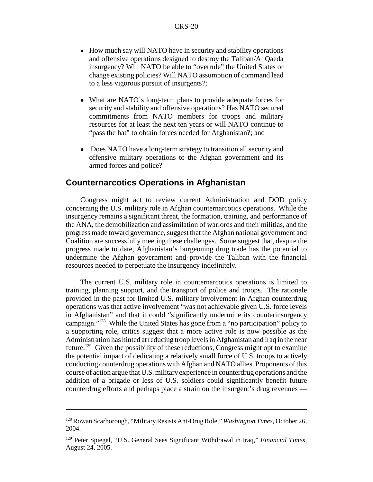- How much say will NATO have in security and stability operations and offensive operations designed to destroy the Taliban/Al Qaeda insurgency? Will NATO be able to "overrule" the United States or change existing policies? Will NATO assumption of command lead to a less vigorous pursuit of insurgents?;
- ! What are NATO's long-term plans to provide adequate forces for security and stability and offensive operations? Has NATO secured commitments from NATO members for troops and military resources for at least the next ten years or will NATO continue to "pass the hat" to obtain forces needed for Afghanistan?; and
- Does NATO have a long-term strategy to transition all security and offensive military operations to the Afghan government and its armed forces and police?

#### **Counternarcotics Operations in Afghanistan**

Congress might act to review current Administration and DOD policy concerning the U.S. military role in Afghan counternarcotics operations. While the insurgency remains a significant threat, the formation, training, and performance of the ANA, the demobilization and assimilation of warlords and their militias, and the progress made toward governance, suggest that the Afghan national government and Coalition are successfully meeting these challenges. Some suggest that, despite the progress made to date, Afghanistan's burgeoning drug trade has the potential to undermine the Afghan government and provide the Taliban with the financial resources needed to perpetuate the insurgency indefinitely.

The current U.S. military role in counternarcotics operations is limited to training, planning support, and the transport of police and troops. The rationale provided in the past for limited U.S. military involvement in Afghan counterdrug operations was that active involvement "was not achievable given U.S. force levels in Afghanistan" and that it could "significantly undermine its counterinsurgency campaign."128 While the United States has gone from a "no participation" policy to a supporting role, critics suggest that a more active role is now possible as the Administration has hinted at reducing troop levels in Afghanistan and Iraq in the near future.<sup>129</sup> Given the possibility of these reductions, Congress might opt to examine the potential impact of dedicating a relatively small force of U.S. troops to actively conducting counterdrug operations with Afghan and NATO allies. Proponents of this course of action argue that U.S. military experience in counterdrug operations and the addition of a brigade or less of U.S. soldiers could significantly benefit future counterdrug efforts and perhaps place a strain on the insurgent's drug revenues —

<sup>128</sup> Rowan Scarborough, "Military Resists Ant-Drug Role," *Washington Times,* October 26, 2004.

<sup>129</sup> Peter Spiegel, "U.S. General Sees Significant Withdrawal in Iraq," *Financial Times,* August 24, 2005.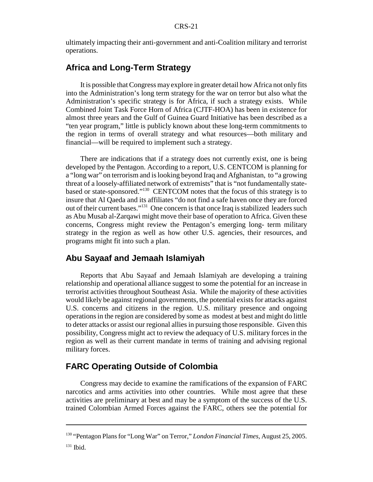ultimately impacting their anti-government and anti-Coalition military and terrorist operations.

#### **Africa and Long-Term Strategy**

It is possible that Congress may explore in greater detail how Africa not only fits into the Administration's long term strategy for the war on terror but also what the Administration's specific strategy is for Africa, if such a strategy exists. While Combined Joint Task Force Horn of Africa (CJTF-HOA) has been in existence for almost three years and the Gulf of Guinea Guard Initiative has been described as a "ten year program," little is publicly known about these long-term commitments to the region in terms of overall strategy and what resources—both military and financial—will be required to implement such a strategy.

There are indications that if a strategy does not currently exist, one is being developed by the Pentagon. According to a report, U.S. CENTCOM is planning for a "long war" on terrorism and is looking beyond Iraq and Afghanistan, to "a growing threat of a loosely-affiliated network of extremists" that is "not fundamentally statebased or state-sponsored."130 CENTCOM notes that the focus of this strategy is to insure that Al Qaeda and its affiliates "do not find a safe haven once they are forced out of their current bases."131 One concern is that once Iraq is stabilized leaders such as Abu Musab al-Zarqawi might move their base of operation to Africa. Given these concerns, Congress might review the Pentagon's emerging long- term military strategy in the region as well as how other U.S. agencies, their resources, and programs might fit into such a plan.

#### **Abu Sayaaf and Jemaah Islamiyah**

Reports that Abu Sayaaf and Jemaah Islamiyah are developing a training relationship and operational alliance suggest to some the potential for an increase in terrorist activities throughout Southeast Asia. While the majority of these activities would likely be against regional governments, the potential exists for attacks against U.S. concerns and citizens in the region. U.S. military presence and ongoing operations in the region are considered by some as modest at best and might do little to deter attacks or assist our regional allies in pursuing those responsible. Given this possibility, Congress might act to review the adequacy of U.S. military forces in the region as well as their current mandate in terms of training and advising regional military forces.

#### **FARC Operating Outside of Colombia**

Congress may decide to examine the ramifications of the expansion of FARC narcotics and arms activities into other countries. While most agree that these activities are preliminary at best and may be a symptom of the success of the U.S. trained Colombian Armed Forces against the FARC, others see the potential for

<sup>130 &</sup>quot;Pentagon Plans for "Long War" on Terror," *London Financial Times,* August 25, 2005.

 $131$  Ibid.